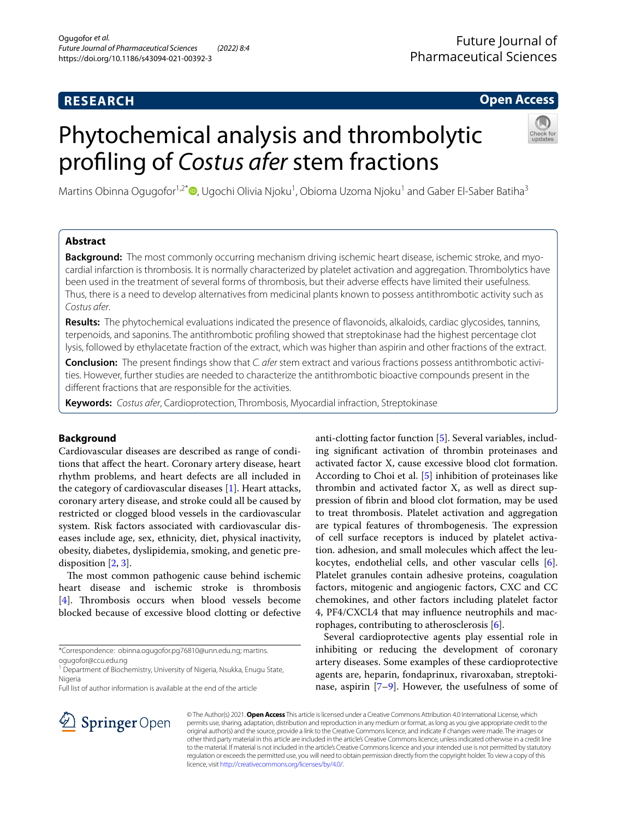# **RESEARCH**

# **Open Access**

# Phytochemical analysis and thrombolytic profling of *Costus afer* stem fractions



Martins Obinna Ogugofor<sup>1[,](http://orcid.org/0000-0002-9491-7498)2\*</sup>®, Ugochi Olivia Njoku<sup>1</sup>, Obioma Uzoma Njoku<sup>1</sup> and Gaber El-Saber Batiha<sup>3</sup>

# **Abstract**

**Background:** The most commonly occurring mechanism driving ischemic heart disease, ischemic stroke, and myocardial infarction is thrombosis. It is normally characterized by platelet activation and aggregation. Thrombolytics have been used in the treatment of several forms of thrombosis, but their adverse efects have limited their usefulness. Thus, there is a need to develop alternatives from medicinal plants known to possess antithrombotic activity such as *Costus afer*.

**Results:** The phytochemical evaluations indicated the presence of favonoids, alkaloids, cardiac glycosides, tannins, terpenoids, and saponins. The antithrombotic profling showed that streptokinase had the highest percentage clot lysis, followed by ethylacetate fraction of the extract, which was higher than aspirin and other fractions of the extract.

**Conclusion:** The present fndings show that *C. afer* stem extract and various fractions possess antithrombotic activi‑ ties. However, further studies are needed to characterize the antithrombotic bioactive compounds present in the diferent fractions that are responsible for the activities.

**Keywords:** *Costus afer*, Cardioprotection, Thrombosis, Myocardial infraction, Streptokinase

# **Background**

Cardiovascular diseases are described as range of conditions that afect the heart. Coronary artery disease, heart rhythm problems, and heart defects are all included in the category of cardiovascular diseases [[1\]](#page-3-0). Heart attacks, coronary artery disease, and stroke could all be caused by restricted or clogged blood vessels in the cardiovascular system. Risk factors associated with cardiovascular diseases include age, sex, ethnicity, diet, physical inactivity, obesity, diabetes, dyslipidemia, smoking, and genetic predisposition [\[2](#page-3-1), [3\]](#page-3-2).

The most common pathogenic cause behind ischemic heart disease and ischemic stroke is thrombosis [[4\]](#page-3-3). Thrombosis occurs when blood vessels become blocked because of excessive blood clotting or defective

\*Correspondence: obinna.ogugofor.pg76810@unn.edu.ng; martins. ogugofor@ccu.edu.ng

<sup>1</sup> Department of Biochemistry, University of Nigeria, Nsukka, Enugu State, Nigeria

Full list of author information is available at the end of the article

anti-clotting factor function [\[5](#page-3-4)]. Several variables, including signifcant activation of thrombin proteinases and activated factor X, cause excessive blood clot formation. According to Choi et al. [[5\]](#page-3-4) inhibition of proteinases like thrombin and activated factor X, as well as direct suppression of fbrin and blood clot formation, may be used to treat thrombosis. Platelet activation and aggregation are typical features of thrombogenesis. The expression of cell surface receptors is induced by platelet activation. adhesion, and small molecules which afect the leukocytes, endothelial cells, and other vascular cells [\[6](#page-3-5)]. Platelet granules contain adhesive proteins, coagulation factors, mitogenic and angiogenic factors, CXC and CC chemokines, and other factors including platelet factor 4, PF4/CXCL4 that may infuence neutrophils and macrophages, contributing to atherosclerosis [[6\]](#page-3-5).

Several cardioprotective agents play essential role in inhibiting or reducing the development of coronary artery diseases. Some examples of these cardioprotective agents are, heparin, fondaprinux, rivaroxaban, streptokinase, aspirin [[7–](#page-3-6)[9\]](#page-4-0). However, the usefulness of some of



© The Author(s) 2021. **Open Access** This article is licensed under a Creative Commons Attribution 4.0 International License, which permits use, sharing, adaptation, distribution and reproduction in any medium or format, as long as you give appropriate credit to the original author(s) and the source, provide a link to the Creative Commons licence, and indicate if changes were made. The images or other third party material in this article are included in the article's Creative Commons licence, unless indicated otherwise in a credit line to the material. If material is not included in the article's Creative Commons licence and your intended use is not permitted by statutory regulation or exceeds the permitted use, you will need to obtain permission directly from the copyright holder. To view a copy of this licence, visit [http://creativecommons.org/licenses/by/4.0/.](http://creativecommons.org/licenses/by/4.0/)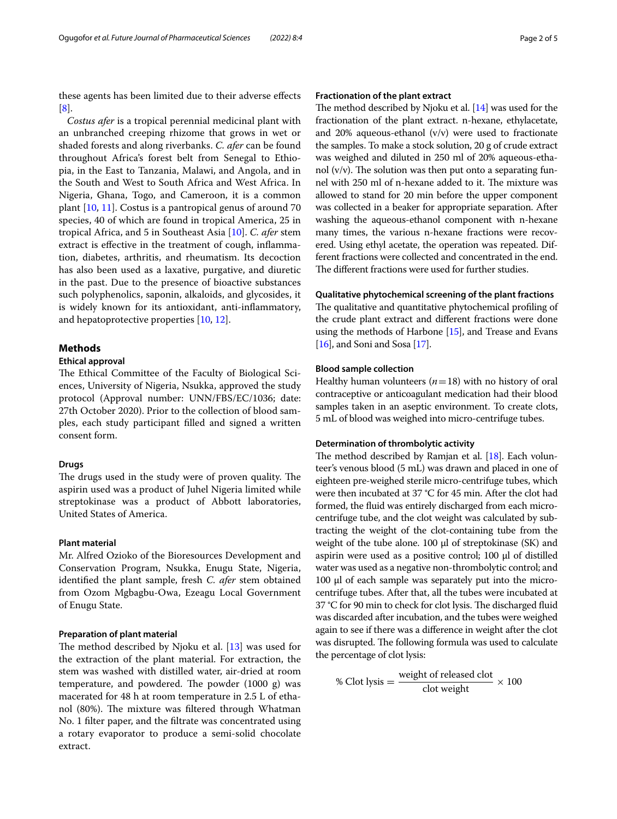these agents has been limited due to their adverse efects [[8\]](#page-3-7).

*Costus afer* is a tropical perennial medicinal plant with an unbranched creeping rhizome that grows in wet or shaded forests and along riverbanks. *C. afer* can be found throughout Africa's forest belt from Senegal to Ethiopia, in the East to Tanzania, Malawi, and Angola, and in the South and West to South Africa and West Africa. In Nigeria, Ghana, Togo, and Cameroon, it is a common plant [\[10](#page-4-1), [11\]](#page-4-2). Costus is a pantropical genus of around 70 species, 40 of which are found in tropical America, 25 in tropical Africa, and 5 in Southeast Asia [\[10](#page-4-1)]. *C. afer* stem extract is efective in the treatment of cough, infammation, diabetes, arthritis, and rheumatism. Its decoction has also been used as a laxative, purgative, and diuretic in the past. Due to the presence of bioactive substances such polyphenolics, saponin, alkaloids, and glycosides, it is widely known for its antioxidant, anti-infammatory, and hepatoprotective properties [\[10](#page-4-1), [12](#page-4-3)].

# **Methods**

# **Ethical approval**

The Ethical Committee of the Faculty of Biological Sciences, University of Nigeria, Nsukka, approved the study protocol (Approval number: UNN/FBS/EC/1036; date: 27th October 2020). Prior to the collection of blood samples, each study participant flled and signed a written consent form.

# **Drugs**

The drugs used in the study were of proven quality. The aspirin used was a product of Juhel Nigeria limited while streptokinase was a product of Abbott laboratories, United States of America.

# **Plant material**

Mr. Alfred Ozioko of the Bioresources Development and Conservation Program, Nsukka, Enugu State, Nigeria, identifed the plant sample, fresh *C. afer* stem obtained from Ozom Mgbagbu-Owa, Ezeagu Local Government of Enugu State.

# **Preparation of plant material**

The method described by Njoku et al.  $[13]$  $[13]$  $[13]$  was used for the extraction of the plant material. For extraction, the stem was washed with distilled water, air-dried at room temperature, and powdered. The powder  $(1000 \text{ g})$  was macerated for 48 h at room temperature in 2.5 L of ethanol (80%). The mixture was filtered through Whatman No. 1 flter paper, and the fltrate was concentrated using a rotary evaporator to produce a semi-solid chocolate extract.

# **Fractionation of the plant extract**

The method described by Njoku et al.  $[14]$  was used for the fractionation of the plant extract. n-hexane, ethylacetate, and 20% aqueous-ethanol  $(v/v)$  were used to fractionate the samples. To make a stock solution, 20 g of crude extract was weighed and diluted in 250 ml of 20% aqueous-ethanol  $(v/v)$ . The solution was then put onto a separating funnel with 250 ml of n-hexane added to it. The mixture was allowed to stand for 20 min before the upper component was collected in a beaker for appropriate separation. After washing the aqueous-ethanol component with n-hexane many times, the various n-hexane fractions were recovered. Using ethyl acetate, the operation was repeated. Different fractions were collected and concentrated in the end. The different fractions were used for further studies.

#### **Qualitative phytochemical screening of the plant fractions**

The qualitative and quantitative phytochemical profiling of the crude plant extract and diferent fractions were done using the methods of Harbone [[15](#page-4-6)], and Trease and Evans [[16](#page-4-7)], and Soni and Sosa [[17](#page-4-8)].

# **Blood sample collection**

Healthy human volunteers  $(n=18)$  with no history of oral contraceptive or anticoagulant medication had their blood samples taken in an aseptic environment. To create clots, 5 mL of blood was weighed into micro-centrifuge tubes.

### **Determination of thrombolytic activity**

The method described by Ramjan et al.  $[18]$  $[18]$ . Each volunteer's venous blood (5 mL) was drawn and placed in one of eighteen pre-weighed sterile micro-centrifuge tubes, which were then incubated at 37 °C for 45 min. After the clot had formed, the fuid was entirely discharged from each microcentrifuge tube, and the clot weight was calculated by subtracting the weight of the clot-containing tube from the weight of the tube alone.  $100 \mu l$  of streptokinase (SK) and aspirin were used as a positive control; 100 µl of distilled water was used as a negative non-thrombolytic control; and 100 µl of each sample was separately put into the microcentrifuge tubes. After that, all the tubes were incubated at 37 °C for 90 min to check for clot lysis. The discharged fluid was discarded after incubation, and the tubes were weighed again to see if there was a diference in weight after the clot was disrupted. The following formula was used to calculate the percentage of clot lysis:

$$
\% \text{Clot lysis} = \frac{\text{weight of released clot}}{\text{clot weight}} \times 100
$$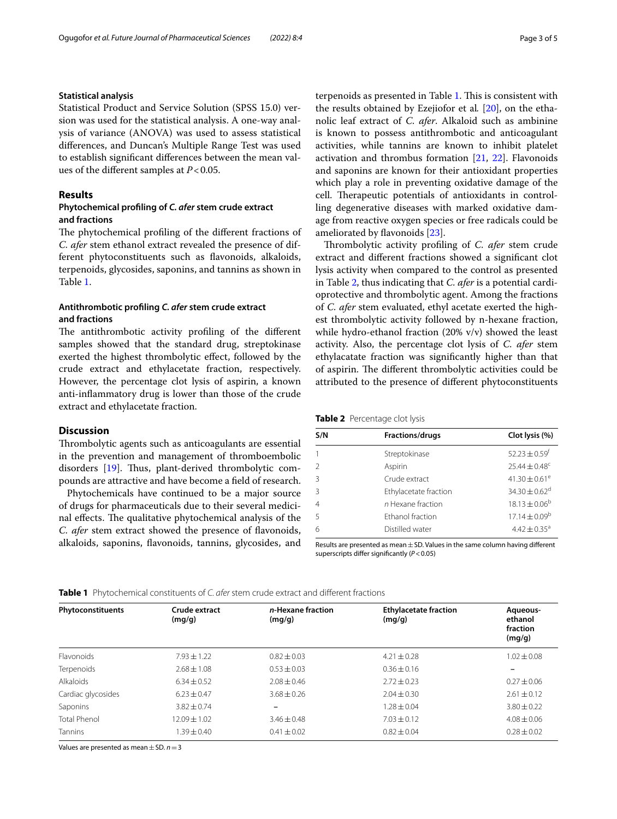# **Statistical analysis**

Statistical Product and Service Solution (SPSS 15.0) version was used for the statistical analysis. A one-way analysis of variance (ANOVA) was used to assess statistical diferences, and Duncan's Multiple Range Test was used to establish signifcant diferences between the mean values of the diferent samples at *P*<0.05.

### **Results**

# **Phytochemical profling of** *C. afer* **stem crude extract and fractions**

The phytochemical profiling of the different fractions of *C. afer* stem ethanol extract revealed the presence of different phytoconstituents such as favonoids, alkaloids, terpenoids, glycosides, saponins, and tannins as shown in Table [1](#page-2-0).

# **Antithrombotic profling** *C. afer* **stem crude extract and fractions**

The antithrombotic activity profiling of the different samples showed that the standard drug, streptokinase exerted the highest thrombolytic efect, followed by the crude extract and ethylacetate fraction, respectively. However, the percentage clot lysis of aspirin, a known anti-infammatory drug is lower than those of the crude extract and ethylacetate fraction.

# **Discussion**

Thrombolytic agents such as anticoagulants are essential in the prevention and management of thromboembolic disorders  $[19]$  $[19]$ . Thus, plant-derived thrombolytic compounds are attractive and have become a feld of research.

Phytochemicals have continued to be a major source of drugs for pharmaceuticals due to their several medicinal effects. The qualitative phytochemical analysis of the *C. afer* stem extract showed the presence of favonoids, alkaloids, saponins, favonoids, tannins, glycosides, and terpenoids as presented in Table [1.](#page-2-0) This is consistent with the results obtained by Ezejiofor et al*.* [\[20\]](#page-4-11), on the ethanolic leaf extract of *C. afer*. Alkaloid such as ambinine is known to possess antithrombotic and anticoagulant activities, while tannins are known to inhibit platelet activation and thrombus formation [\[21](#page-4-12), [22](#page-4-13)]. Flavonoids and saponins are known for their antioxidant properties which play a role in preventing oxidative damage of the cell. Therapeutic potentials of antioxidants in controlling degenerative diseases with marked oxidative damage from reactive oxygen species or free radicals could be ameliorated by favonoids [[23\]](#page-4-14).

Thrombolytic activity profiling of *C. afer* stem crude extract and diferent fractions showed a signifcant clot lysis activity when compared to the control as presented in Table [2,](#page-2-1) thus indicating that *C. afer* is a potential cardioprotective and thrombolytic agent. Among the fractions of *C. afer* stem evaluated, ethyl acetate exerted the highest thrombolytic activity followed by n-hexane fraction, while hydro-ethanol fraction (20% v/v) showed the least activity. Also, the percentage clot lysis of *C. afer* stem ethylacatate fraction was signifcantly higher than that of aspirin. The different thrombolytic activities could be attributed to the presence of diferent phytoconstituents

<span id="page-2-1"></span>

|  | Table 2 Percentage clot lysis |  |
|--|-------------------------------|--|
|--|-------------------------------|--|

| S/N            | <b>Fractions/drugs</b> | Clot lysis (%)<br>$52.23 \pm 0.59$ <sup>t</sup> |  |
|----------------|------------------------|-------------------------------------------------|--|
|                | Streptokinase          |                                                 |  |
|                | Aspirin                | $25.44 \pm 0.48$ <sup>c</sup>                   |  |
| $\mathcal{R}$  | Crude extract          | 41.30 $\pm$ 0.61 <sup>e</sup>                   |  |
|                | Ethylacetate fraction  | 34.30 $\pm$ 0.62 <sup>d</sup>                   |  |
| $\overline{4}$ | n Hexane fraction      | $18.13 \pm 0.06^{\rm b}$                        |  |
| -5             | Ethanol fraction       | $17.14 \pm 0.09^b$                              |  |
| 6              | Distilled water        | $4.42 \pm 0.35$ <sup>a</sup>                    |  |
|                |                        |                                                 |  |

Results are presented as mean $\pm$ SD. Values in the same column having different superscripts difer signifcantly (*P*<0.05)

<span id="page-2-0"></span>

| (mq/q)          | (mq/q)          | (mq/q)            | Aqueous-<br>ethanol<br>fraction<br>(mg/g) |
|-----------------|-----------------|-------------------|-------------------------------------------|
| $7.93 \pm 1.22$ | $0.82 \pm 0.03$ | $4.21 \pm 0.28$   | $1.02 \pm 0.08$                           |
| $2.68 \pm 1.08$ | $0.53 \pm 0.03$ | $0.36 \pm 0.16$   |                                           |
| $6.34 \pm 0.52$ | $2.08 \pm 0.46$ | $2.72 \pm 0.23$   | $0.27 \pm 0.06$                           |
| $6.23 \pm 0.47$ | $3.68 \pm 0.26$ | $2.04 \pm 0.30$   | $2.61 \pm 0.12$                           |
| $3.82 + 0.74$   | $\qquad \qquad$ | $1.28 + 0.04$     | $3.80 \pm 0.22$                           |
| $12.09 + 1.02$  | $3.46 + 0.48$   | $7.03 \pm 0.12$   | $4.08 + 0.06$                             |
| $1.39 \pm 0.40$ | $0.41 \pm 0.02$ | $0.82 \pm 0.04$   | $0.28 \pm 0.02$                           |
|                 | Crude extract   | n-Hexane fraction | <b>Ethylacetate fraction</b>              |

Values are presented as mean±SD. *n*=3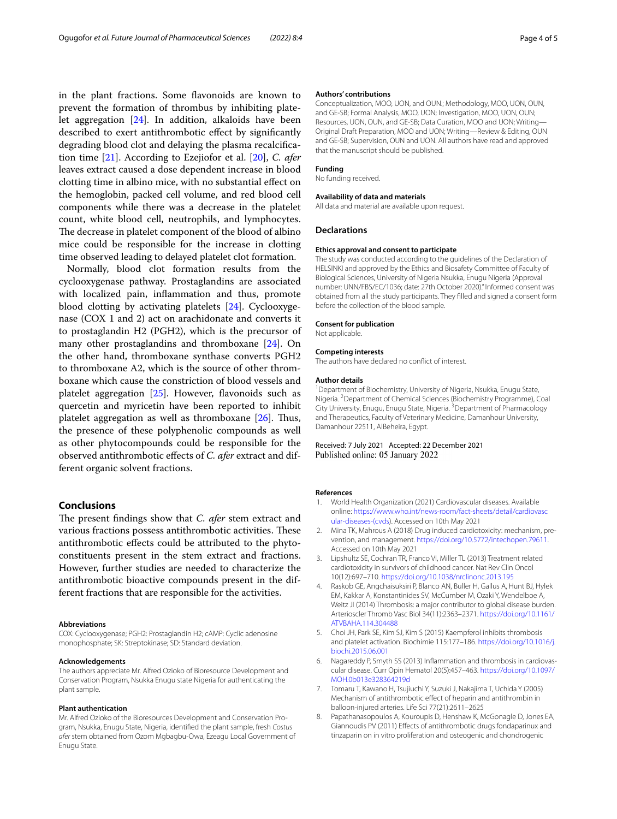in the plant fractions. Some favonoids are known to prevent the formation of thrombus by inhibiting platelet aggregation [[24\]](#page-4-15). In addition, alkaloids have been described to exert antithrombotic efect by signifcantly degrading blood clot and delaying the plasma recalcifcation time [[21](#page-4-12)]. According to Ezejiofor et al. [\[20\]](#page-4-11), *C. afer* leaves extract caused a dose dependent increase in blood clotting time in albino mice, with no substantial efect on the hemoglobin, packed cell volume, and red blood cell components while there was a decrease in the platelet count, white blood cell, neutrophils, and lymphocytes. The decrease in platelet component of the blood of albino mice could be responsible for the increase in clotting time observed leading to delayed platelet clot formation.

Normally, blood clot formation results from the cyclooxygenase pathway. Prostaglandins are associated with localized pain, infammation and thus, promote blood clotting by activating platelets [[24](#page-4-15)]. Cyclooxygenase (COX 1 and 2) act on arachidonate and converts it to prostaglandin H2 (PGH2), which is the precursor of many other prostaglandins and thromboxane [[24](#page-4-15)]. On the other hand, thromboxane synthase converts PGH2 to thromboxane A2, which is the source of other thromboxane which cause the constriction of blood vessels and platelet aggregation  $[25]$  $[25]$ . However, flavonoids such as quercetin and myricetin have been reported to inhibit platelet aggregation as well as thromboxane  $[26]$  $[26]$ . Thus, the presence of these polyphenolic compounds as well as other phytocompounds could be responsible for the observed antithrombotic efects of *C. afer* extract and different organic solvent fractions.

# **Conclusions**

The present findings show that *C. afer* stem extract and various fractions possess antithrombotic activities. These antithrombotic efects could be attributed to the phytoconstituents present in the stem extract and fractions. However, further studies are needed to characterize the antithrombotic bioactive compounds present in the different fractions that are responsible for the activities.

#### **Abbreviations**

COX: Cyclooxygenase; PGH2: Prostaglandin H2; cAMP: Cyclic adenosine monophosphate; SK: Streptokinase; SD: Standard deviation.

#### **Acknowledgements**

The authors appreciate Mr. Alfred Ozioko of Bioresource Development and Conservation Program, Nsukka Enugu state Nigeria for authenticating the plant sample.

#### **Plant authentication**

Mr. Alfred Ozioko of the Bioresources Development and Conservation Program, Nsukka, Enugu State, Nigeria, identifed the plant sample, fresh *Costus afer* stem obtained from Ozom Mgbagbu-Owa, Ezeagu Local Government of Enugu State.

#### **Authors' contributions**

Conceptualization, MOO, UON, and OUN.; Methodology, MOO, UON, OUN, and GE-SB; Formal Analysis, MOO, UON; Investigation, MOO, UON, OUN; Resources, UON, OUN, and GE-SB; Data Curation, MOO and UON; Writing— Original Draft Preparation, MOO and UON; Writing—Review & Editing, OUN and GE-SB; Supervision, OUN and UON. All authors have read and approved that the manuscript should be published.

#### **Funding**

No funding received.

#### **Availability of data and materials**

All data and material are available upon request.

#### **Declarations**

#### **Ethics approval and consent to participate**

The study was conducted according to the guidelines of the Declaration of HELSINKI and approved by the Ethics and Biosafety Committee of Faculty of Biological Sciences, University of Nigeria Nsukka, Enugu Nigeria (Approval number: UNN/FBS/EC/1036; date: 27th October 2020)."Informed consent was obtained from all the study participants. They flled and signed a consent form before the collection of the blood sample.

#### **Consent for publication**

Not applicable.

#### **Competing interests**

The authors have declared no confict of interest.

#### **Author details**

<sup>1</sup> Department of Biochemistry, University of Nigeria, Nsukka, Enugu State, Nigeria. <sup>2</sup> Department of Chemical Sciences (Biochemistry Programme), Coal City University, Enugu, Enugu State, Nigeria. <sup>3</sup> Department of Pharmacology and Therapeutics, Faculty of Veterinary Medicine, Damanhour University, Damanhour 22511, AlBeheira, Egypt.

# Received: 7 July 2021 Accepted: 22 December 2021 Published online: 05 January 2022

#### **References**

- <span id="page-3-0"></span>1. World Health Organization (2021) Cardiovascular diseases. Available online: [https://www.who.int/news-room/fact-sheets/detail/cardiovasc](https://www.who.int/news-room/fact-sheets/detail/cardiovascular-diseases-(cvds) [ular-diseases-\(cvds\)](https://www.who.int/news-room/fact-sheets/detail/cardiovascular-diseases-(cvds). Accessed on 10th May 2021
- <span id="page-3-1"></span>2. Mina TK, Mahrous A (2018) Drug induced cardiotoxicity: mechanism, pre‑ vention, and management. [https://doi.org/10.5772/intechopen.79611.](https://doi.org/10.5772/intechopen.79611) Accessed on 10th May 2021
- <span id="page-3-2"></span>3. Lipshultz SE, Cochran TR, Franco VI, Miller TL (2013) Treatment related cardiotoxicity in survivors of childhood cancer. Nat Rev Clin Oncol 10(12):697–710.<https://doi.org/10.1038/nrclinonc.2013.195>
- <span id="page-3-3"></span>4. Raskob GE, Angchaisuksiri P, Blanco AN, Buller H, Gallus A, Hunt BJ, Hylek EM, Kakkar A, Konstantinides SV, McCumber M, Ozaki Y, Wendelboe A, Weitz JI (2014) Thrombosis: a major contributor to global disease burden. Arterioscler Thromb Vasc Biol 34(11):2363–2371. [https://doi.org/10.1161/](https://doi.org/10.1161/ATVBAHA.114.304488) [ATVBAHA.114.304488](https://doi.org/10.1161/ATVBAHA.114.304488)
- <span id="page-3-4"></span>5. Choi JH, Park SE, Kim SJ, Kim S (2015) Kaempferol inhibits thrombosis and platelet activation. Biochimie 115:177–186. [https://doi.org/10.1016/j.](https://doi.org/10.1016/j.biochi.2015.06.001) [biochi.2015.06.001](https://doi.org/10.1016/j.biochi.2015.06.001)
- <span id="page-3-5"></span>6. Nagareddy P, Smyth SS (2013) Inflammation and thrombosis in cardiovascular disease. Curr Opin Hematol 20(5):457–463. [https://doi.org/10.1097/](https://doi.org/10.1097/MOH.0b013e328364219d) [MOH.0b013e328364219d](https://doi.org/10.1097/MOH.0b013e328364219d)
- <span id="page-3-6"></span>7. Tomaru T, Kawano H, Tsujiuchi Y, Suzuki J, Nakajima T, Uchida Y (2005) Mechanism of antithrombotic efect of heparin and antithrombin in balloon-injured arteries. Life Sci 77(21):2611–2625
- <span id="page-3-7"></span>8. Papathanasopoulos A, Kouroupis D, Henshaw K, McGonagle D, Jones EA, Giannoudis PV (2011) Efects of antithrombotic drugs fondaparinux and tinzaparin on in vitro proliferation and osteogenic and chondrogenic